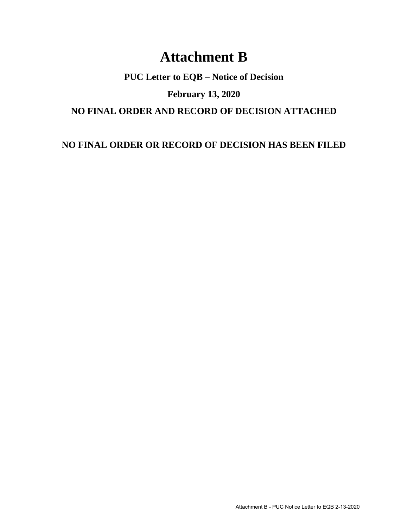## **Attachment B**

**PUC Letter to EQB – Notice of Decision**

**February 13, 2020**

**NO FINAL ORDER AND RECORD OF DECISION ATTACHED**

**NO FINAL ORDER OR RECORD OF DECISION HAS BEEN FILED**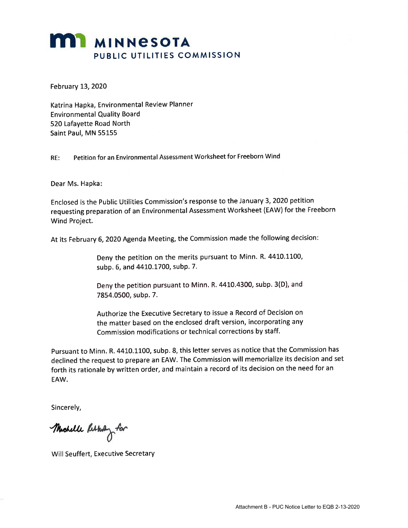## **MI MINNESOTA** PUBLIC UTILITIES COMMISSION

February L3,2O2O

Katrina Hapka, Environmental Review Planner Environmental Quality Board 520 Lafayette Road North Saint Paul, MN 55155

RE: Petition for an Environmental Assessment Worksheet for Freeborn Wind

Dear Ms. Hapka

Enclosed is the Public Utilities Commission's response to the January 3,2020 petition requesting preparation of an Environmental Assessment Worksheet (EAW) for the Freeborn Wind Project.

At its February 6, 2020 Agenda Meeting, the Commission made the following decision:

Deny the petition on the merits pursuant to Minn. R. 4410.1100, subp. 6, and 4410.1700, subp. 7.

Deny the petition pursuant to Minn. R. 4410.4300, subp. 3(D), and 7854.0500, subp. 7.

Authorize the Executive Secretary to issue a Record of Decision on the matter based on the enclosed draft version, incorporating any Commission modifications or technical corrections by staff.

Pursuant to Minn. R. 4410.1100, subp. 8, this letter serves as notice that the Commission has declined the request to prepare an EAW. The Commission will memorialize its decision and set forth its rationale by written order, and maintain a record of its decision on the need for an EAW.

Sincerely,

Muchelle Reskultz for

Will Seuffert, Executive Secretary